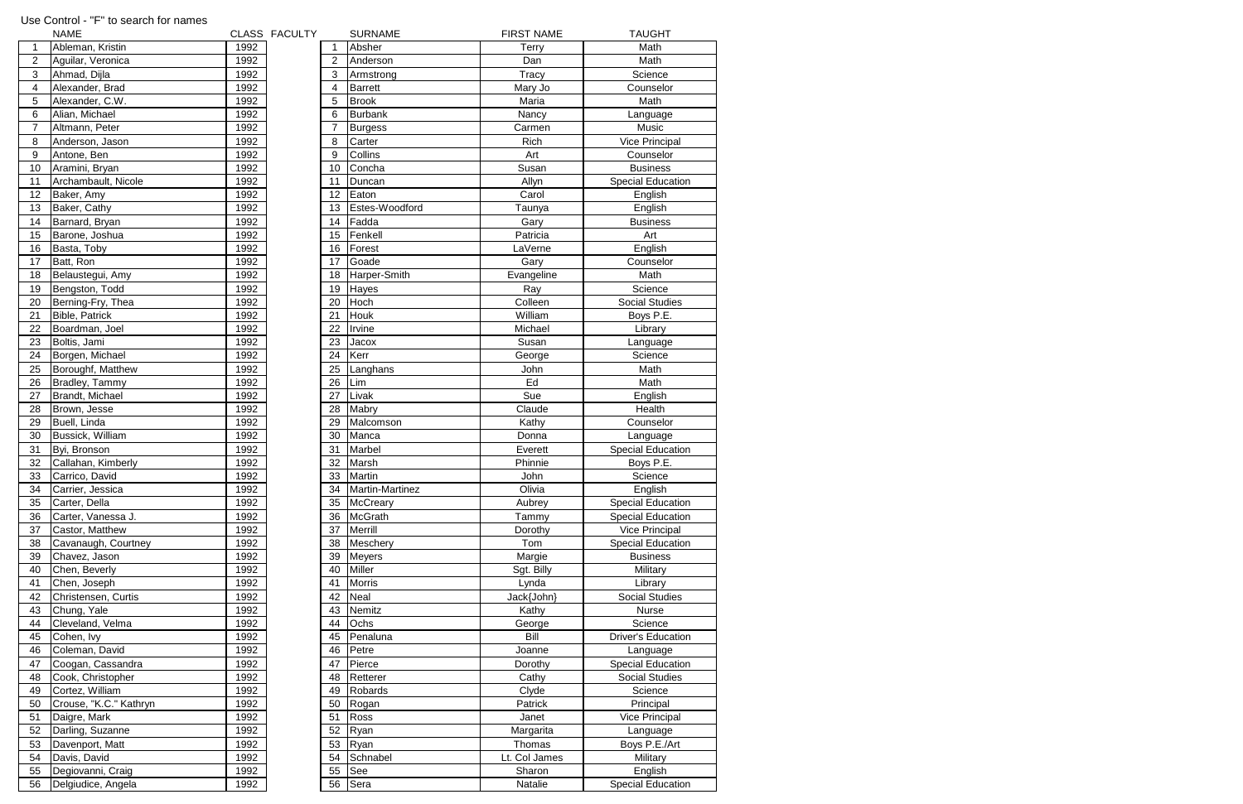|              | <b>NAME</b>            |      | CLASS FACULTY |    | <b>SURNAME</b>         | <b>FIRST NAME</b> | <b>TAUGHT</b>             |
|--------------|------------------------|------|---------------|----|------------------------|-------------------|---------------------------|
| $\mathbf{1}$ | Ableman, Kristin       | 1992 |               |    | Absher                 | Terry             | Math                      |
| 2            | Aguilar, Veronica      | 1992 |               |    | Anderson               | Dan               | Math                      |
| 3            | Ahmad, Dijla           | 1992 |               | 3  | Armstrong              | Tracy             | Science                   |
| 4            | Alexander, Brad        | 1992 |               | 4  | <b>Barrett</b>         | Mary Jo           | Counselor                 |
| 5            | Alexander, C.W.        | 1992 |               | 5  | <b>Brook</b>           | Maria             | Math                      |
| 6            | Alian, Michael         | 1992 |               | 6  | <b>Burbank</b>         | Nancy             | Language                  |
| 7            | Altmann, Peter         | 1992 |               | 7  | <b>Burgess</b>         | Carmen            | Music                     |
| 8            | Anderson, Jason        | 1992 |               | 8  | Carter                 | Rich              | <b>Vice Principal</b>     |
| 9            | Antone, Ben            | 1992 |               | 9  | Collins                | Art               | Counselor                 |
| 10           | Aramini, Bryan         | 1992 |               | 10 | Concha                 | Susan             | <b>Business</b>           |
| 11           | Archambault, Nicole    | 1992 |               | 11 | Duncan                 | Allyn             | <b>Special Education</b>  |
| 12           | Baker, Amy             | 1992 |               | 12 | Eaton                  | Carol             | English                   |
| 13           | Baker, Cathy           | 1992 |               | 13 | Estes-Woodford         | Taunya            | English                   |
| 14           | Barnard, Bryan         | 1992 |               | 14 | Fadda                  | Gary              | <b>Business</b>           |
| 15           | Barone, Joshua         | 1992 |               | 15 | Fenkell                | Patricia          | Art                       |
| 16           | Basta, Toby            | 1992 |               | 16 | Forest                 | LaVerne           | English                   |
| 17           | Batt, Ron              | 1992 |               | 17 | Goade                  | Gary              | Counselor                 |
| 18           | Belaustegui, Amy       | 1992 |               | 18 | Harper-Smith           | Evangeline        | Math                      |
| 19           | Bengston, Todd         | 1992 |               | 19 | Hayes                  | Ray               | Science                   |
| 20           | Berning-Fry, Thea      | 1992 |               | 20 | Hoch                   | Colleen           | <b>Social Studies</b>     |
| 21           | Bible, Patrick         | 1992 |               | 21 | Houk                   | William           | Boys P.E.                 |
| 22           | Boardman, Joel         | 1992 |               | 22 | Irvine                 | Michael           | Library                   |
| 23           | Boltis, Jami           | 1992 |               | 23 | Jacox                  | Susan             | Language                  |
| 24           | Borgen, Michael        | 1992 |               | 24 | Kerr                   | George            | Science                   |
| 25           | Boroughf, Matthew      | 1992 |               | 25 | Langhans               | John              | Math                      |
| 26           | Bradley, Tammy         | 1992 |               | 26 | Lim                    | Ed                | Math                      |
| 27           | Brandt, Michael        | 1992 |               | 27 | Livak                  | Sue               | English                   |
| 28           | Brown, Jesse           | 1992 |               | 28 | Mabry                  | Claude            | Health                    |
|              | Buell, Linda           | 1992 |               |    |                        |                   | Counselor                 |
| 29           |                        |      |               | 29 | Malcomson<br>Manca     | Kathy             |                           |
| 30           | Bussick, William       | 1992 |               | 30 |                        | Donna             | Language                  |
| 31           | Byi, Bronson           | 1992 |               | 31 | Marbel                 | Everett           | <b>Special Education</b>  |
| 32           | Callahan, Kimberly     | 1992 |               | 32 | Marsh                  | Phinnie           | Boys P.E.                 |
| 33           | Carrico, David         | 1992 |               | 33 | Martin                 | John              | Science                   |
| 34           | Carrier, Jessica       | 1992 |               | 34 | <b>Martin-Martinez</b> | Olivia            | English                   |
| 35           | Carter, Della          | 1992 |               | 35 | McCreary               | Aubrey            | <b>Special Education</b>  |
| 36           | Carter, Vanessa J.     | 1992 |               | 36 | McGrath                | Tammy             | <b>Special Education</b>  |
| 37           | Castor, Matthew        | 1992 |               | 37 | Merrill                | Dorothy           | <b>Vice Principal</b>     |
| 38           | Cavanaugh, Courtney    | 1992 |               | 38 | Meschery               | Tom               | <b>Special Education</b>  |
| 39           | Chavez, Jason          | 1992 |               | 39 | <b>Meyers</b>          | Margie            | <b>Business</b>           |
| 40           | Chen, Beverly          | 1992 |               | 40 | <b>Miller</b>          | Sgt. Billy        | Military                  |
| 41           | Chen, Joseph           | 1992 |               | 41 | <b>Morris</b>          | Lynda             | Library                   |
| 42           | Christensen, Curtis    | 1992 |               | 42 | Neal                   | Jack{John}        | <b>Social Studies</b>     |
| 43           | Chung, Yale            | 1992 |               | 43 | Nemitz                 | Kathy             | <b>Nurse</b>              |
| 44           | Cleveland, Velma       | 1992 |               | 44 | Ochs                   | George            | Science                   |
| 45           | Cohen, Ivy             | 1992 |               | 45 | Penaluna               | Bill              | <b>Driver's Education</b> |
| 46           | Coleman, David         | 1992 |               | 46 | Petre                  | Joanne            | Language                  |
| 47           | Coogan, Cassandra      | 1992 |               | 47 | Pierce                 | Dorothy           | <b>Special Education</b>  |
| 48           | Cook, Christopher      | 1992 |               | 48 | Retterer               | Cathy             | Social Studies            |
| 49           | Cortez, William        | 1992 |               | 49 | Robards                | Clyde             | Science                   |
| 50           | Crouse, "K.C." Kathryn | 1992 |               | 50 | Rogan                  | Patrick           | Principal                 |
| 51           | Daigre, Mark           | 1992 |               | 51 | Ross                   | Janet             | <b>Vice Principal</b>     |
| 52           | Darling, Suzanne       | 1992 |               | 52 | Ryan                   | Margarita         | Language                  |
| 53           | Davenport, Matt        | 1992 |               | 53 | Ryan                   | Thomas            | Boys P.E./Art             |
| 54           | Davis, David           | 1992 |               | 54 | Schnabel               | Lt. Col James     | Military                  |
| 55           | Degiovanni, Craig      | 1992 |               | 55 | See                    | Sharon            | English                   |
| 56           | Delgiudice, Angela     | 1992 |               | 56 | Sera                   | Natalie           | <b>Special Education</b>  |

## Use Control - "F" to search for names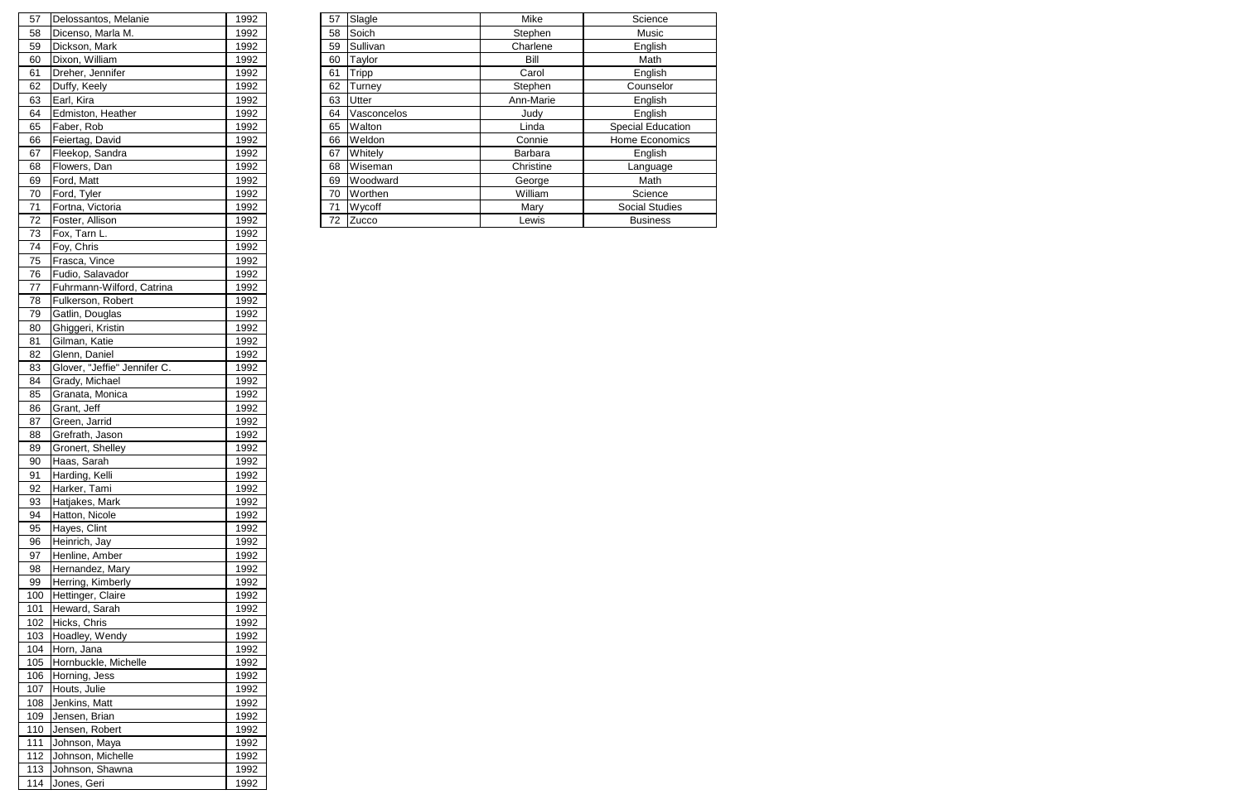| 57  | Delossantos, Melanie               | 1992 | 57 | Slagle        | Mike      | Science               |
|-----|------------------------------------|------|----|---------------|-----------|-----------------------|
| 58  | Dicenso, Marla M.                  | 1992 | 58 | Soich         | Stephen   | Music                 |
| 59  | Dickson, Mark                      | 1992 | 59 | Sullivan      | Charlene  | English               |
| 60  | Dixon, William                     | 1992 | 60 | Taylor        | Bill      | Math                  |
| 61  | Dreher, Jennifer                   | 1992 | 61 | Tripp         | Carol     | English               |
| 62  | Duffy, Keely                       | 1992 | 62 | <b>Turney</b> | Stephen   | Counselor             |
| 63  | Earl, Kira                         | 1992 | 63 | <b>Utter</b>  | Ann-Marie | English               |
| 64  | Edmiston, Heather                  | 1992 | 64 | Vasconcelos   | Judy      | English               |
| 65  | Faber, Rob                         | 1992 | 65 | Walton        | Linda     | Special Education     |
| 66  | Feiertag, David                    | 1992 | 66 | Weldon        | Connie    | <b>Home Economics</b> |
| 67  | Fleekop, Sandra                    | 1992 | 67 | Whitely       | Barbara   | English               |
| 68  | Flowers, Dan                       | 1992 | 68 | Wiseman       | Christine | Language              |
| 69  | Ford, Matt                         | 1992 | 69 | Woodward      | George    | Math                  |
| 70  | Ford, Tyler                        | 1992 | 70 | Worthen       | William   | Science               |
| 71  | Fortna, Victoria                   | 1992 | 71 | Wycoff        | Mary      | <b>Social Studies</b> |
| 72  | Foster, Allison                    | 1992 | 72 | Zucco         | Lewis     | <b>Business</b>       |
| 73. | $F_{\alpha}$ T <sub>2m</sub> $\mu$ | 1002 |    |               |           |                       |

| 57  | Delossantos, Melanie           | 1992         |
|-----|--------------------------------|--------------|
| 58  | Dicenso, Marla M.              | 1992         |
| 59  | Dickson, Mark                  | 1992         |
| 60  | Dixon, William                 | 1992         |
| 61  | Dreher, Jennifer               | 1992         |
| 62  | Duffy, Keely                   | 1992         |
| 63  | Earl, Kira                     | 1992         |
| 64  | Edmiston, Heather              | 1992         |
| 65  | Faber, Rob                     | 1992         |
| 66  | Feiertag, David                | 1992         |
| 67  | Fleekop, Sandra                | 1992         |
| 68  | Flowers, Dan                   | 1992         |
| 69  | Ford, Matt                     | 1992         |
| 70  | Ford, Tyler                    | 1992         |
| 71  | Fortna, Victoria               | 1992         |
| 72  | Foster, Allison                | 1992         |
| 73  | Fox, Tarn L.                   | 1992         |
| 74  | Foy, Chris                     | 1992         |
| 75  | Frasca, Vince                  | 1992         |
| 76  | Fudio, Salavador               | 1992         |
| 77  | Fuhrmann-Wilford, Catrina      | 1992         |
| 78  | Fulkerson, Robert              | 1992         |
| 79  | Gatlin, Douglas                | 1992         |
| 80  | Ghiggeri, Kristin              | 1992         |
| 81  | Gilman, Katie                  | 1992         |
| 82  | Glenn, Daniel                  | 1992         |
| 83  | Glover, "Jeffie" Jennifer C.   | 1992         |
| 84  | Grady, Michael                 | 1992         |
| 85  | Granata, Monica                | 1992         |
| 86  | Grant, Jeff                    | 1992         |
| 87  | Green, Jarrid                  | 1992         |
| 88  | Grefrath, Jason                | 1992         |
| 89  | Gronert, Shelley               | 1992         |
| 90  | Haas, Sarah                    |              |
| 91  |                                | 1992         |
| 92  | Harding, Kelli<br>Harker, Tami | 1992<br>1992 |
|     |                                |              |
| 93  | Hatjakes, Mark                 | 1992         |
| 94  | Hatton, Nicole                 | 1992         |
| 95  | Hayes, Clint                   | 1992         |
| 96  | Heinrich, Jay                  | 1992         |
| 97  | Henline, Amber                 | 1992         |
| 98  | Hernandez, Mary                | 1992         |
| 99  | Herring, Kimberly              | 1992         |
| 100 | Hettinger, Claire              | 1992         |
| 101 | Heward, Sarah                  | 1992         |
| 102 | Hicks, Chris                   | 1992         |
| 103 | Hoadley, Wendy                 | 1992         |
| 104 | Horn, Jana                     | 1992         |
| 105 | Hornbuckle, Michelle           | 1992         |
| 106 | Horning, Jess                  | 1992         |
| 107 | Houts, Julie                   | 1992         |
| 108 | Jenkins, Matt                  | 1992         |
| 109 | Jensen, Brian                  | 1992         |
| 110 | Jensen, Robert                 | 1992         |
| 111 | Johnson, Maya                  | 1992         |
| 112 | Johnson, Michelle              | 1992         |
| 113 | Johnson, Shawna                | 1992         |
| 114 | Jones, Geri                    | 1992         |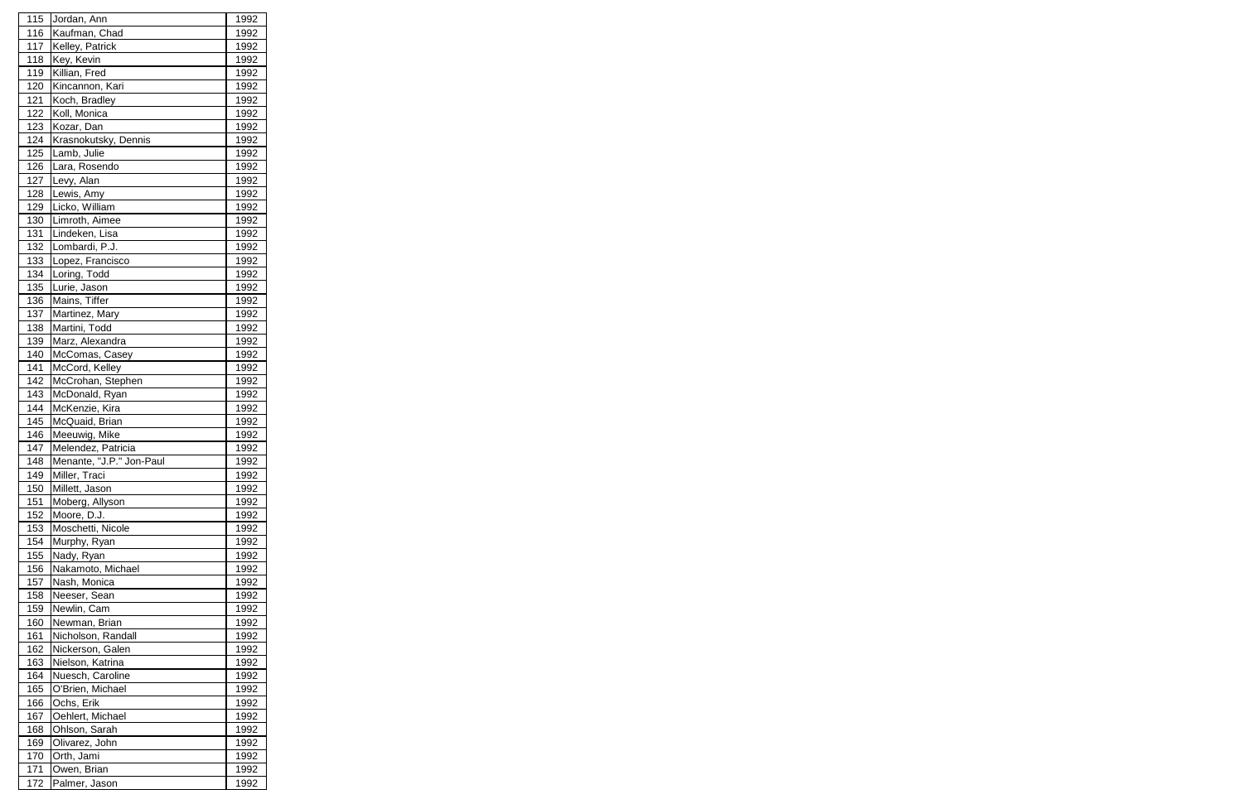| 115        | Jordan, Ann              | 1992        |
|------------|--------------------------|-------------|
| 116        | Kaufman, Chad            | 1992        |
| 117        | Kelley, Patrick          | 1992        |
| 118        | Key, Kevin               | 1992        |
| 119        | Killian, Fred            | 1992        |
| 120        | Kincannon, Kari          | 1992        |
| 121        | Koch, Bradley            | 1992        |
| 122        | Koll, Monica             | 1992        |
| 123        | Kozar, Dan               | 1992        |
| 124        | Krasnokutsky, Dennis     | 1992        |
| 125        | Lamb, Julie              | 1992        |
| 126        | Lara, Rosendo            | 1992        |
| 127        | Levy, Alan               | 1992        |
| 128        | Lewis, Amy               | 1992        |
| 129        | Licko, William           | 1992        |
| 130        | Limroth, Aimee           | 1992        |
| 131        | Lindeken, Lisa           | 1992        |
| 132        | Lombardi, P.J.           | 1992        |
| 133        | Lopez, Francisco         | 1992        |
| 134        | Loring, Todd             |             |
|            |                          | 1992        |
| 135        | Lurie, Jason             | 1992        |
| 136        | Mains, Tiffer            | 1992        |
| 137        | Martinez, Mary           | 1992        |
| 138        | Martini, Todd            | 1992        |
| 139        | Marz, Alexandra          | 1992        |
| 140        | McComas, Casey           | 1992        |
| 141        | McCord, Kelley           | 1992        |
| 142        | McCrohan, Stephen        | 1992        |
| 143        | McDonald, Ryan           | 1992        |
| 144        | McKenzie, Kira           | 1992        |
| 145        | McQuaid, Brian           | 1992        |
| 146        | Meeuwig, Mike            | 1992        |
| 147        | Melendez, Patricia       | 1992        |
| <u>148</u> | Menante, "J.P." Jon-Paul | <u>1992</u> |
| 149        | Miller, Traci            | 1992        |
| 150        | Millett, Jason           | 1992        |
| 151        | Moberg, Allyson          | 1992        |
| 152        | Moore, D.J.              | 1992        |
| 153        | Moschetti, Nicole        | 1992        |
| 154        | Murphy, Ryan             | 1992        |
| 155        | Nady, Ryan               | 1992        |
| 156        | Nakamoto, Michael        | 1992        |
| 157        | Nash, Monica             | 1992        |
| 158        | Neeser, Sean             | 1992        |
| 159        | Newlin, Cam              | 1992        |
| 160        | Newman, Brian            | 1992        |
| 161        | Nicholson, Randall       | 1992        |
| 162        | Nickerson, Galen         | 1992        |
| 163        | Nielson, Katrina         | 1992        |
| 164        | Nuesch, Caroline         | 1992        |
| 165        | O'Brien, Michael         | 1992        |
| 166        | Ochs, Erik               | 1992        |
| 167        | Oehlert, Michael         | 1992        |
| 168        | Ohlson, Sarah            | 1992        |
| 169        | Olivarez, John           | 1992        |
| 170        | Orth, Jami               | 1992        |
| 171        | Owen, Brian              | 1992        |
| 172        | Palmer, Jason            | 1992        |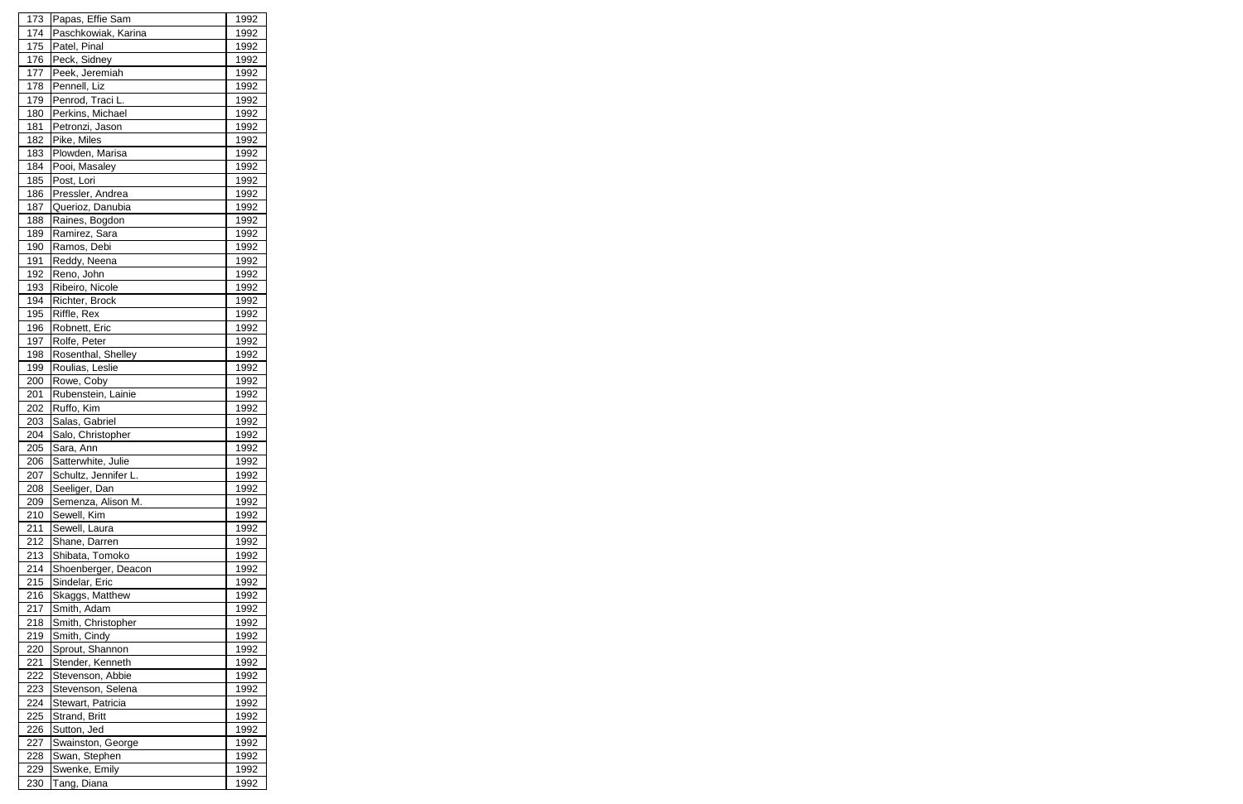| 173        | Papas, Effie Sam     | 1992        |
|------------|----------------------|-------------|
| 174        | Paschkowiak, Karina  | 1992        |
| 175        | Patel, Pinal         | 1992        |
| 176        | Peck, Sidney         | 1992        |
| 177        | Peek, Jeremiah       | 1992        |
| 178        | Pennell, Liz         | 1992        |
| 179        | Penrod, Traci L.     | 1992        |
| 180        | Perkins, Michael     | 1992        |
| 181        | Petronzi, Jason      | 1992        |
| 182        | Pike, Miles          | 1992        |
| 183        | Plowden, Marisa      | 1992        |
| 184        | Pooi, Masaley        | 1992        |
| 185        | Post, Lori           | 1992        |
| 186        | Pressler, Andrea     | 1992        |
| 187        | Querioz, Danubia     | 1992        |
| 188        | Raines, Bogdon       | 1992        |
| 189        | Ramirez, Sara        |             |
|            |                      | 1992        |
| 190        | Ramos, Debi          | 1992        |
| 191        | Reddy, Neena         | 1992        |
| 192        | Reno, John           | 1992        |
| 193        | Ribeiro, Nicole      | 1992        |
| 194        | Richter, Brock       | 1992        |
| 195        | Riffle, Rex          | 1992        |
| 196        | Robnett, Eric        | 1992        |
| 197        | Rolfe, Peter         | 1992        |
| 198        | Rosenthal, Shelley   | 1992        |
| 199        | Roulias, Leslie      | 1992        |
| 200        | Rowe, Coby           | 1992        |
| 201        | Rubenstein, Lainie   | 1992        |
| 202        | Ruffo, Kim           | 1992        |
| 203        | Salas, Gabriel       | 1992        |
| 204        | Salo, Christopher    | 1992        |
| 205        | Sara, Ann            | 1992        |
| <b>206</b> | Satterwhite, Julie   | <u>1992</u> |
| 207        | Schultz, Jennifer L. | 1992        |
| 208        | Seeliger, Dan        | 1992        |
| 209        | Semenza, Alison M.   | 1992        |
| 210        | Sewell, Kim          | 1992        |
| 211        | Sewell, Laura        | 1992        |
| 212        | Shane, Darren        | 1992        |
| 213        | Shibata, Tomoko      | 1992        |
| 214        | Shoenberger, Deacon  | 1992        |
| 215        | Sindelar, Eric       | 1992        |
| 216        | Skaggs, Matthew      | 1992        |
| 217        | Smith, Adam          | 1992        |
| 218        | Smith, Christopher   | 1992        |
| 219        | Smith, Cindy         | 1992        |
| 220        | Sprout, Shannon      | 1992        |
| 221        | Stender, Kenneth     | 1992        |
| 222        | Stevenson, Abbie     | 1992        |
| 223        | Stevenson, Selena    | 1992        |
|            | Stewart, Patricia    |             |
| 224        |                      | 1992        |
| 225        | Strand, Britt        | 1992        |
| 226        | Sutton, Jed          | 1992        |
| 227        | Swainston, George    | 1992        |
| 228        | Swan, Stephen        | 1992        |
| 229        | Swenke, Emily        | 1992        |
| 230        | Tang, Diana          | 1992        |